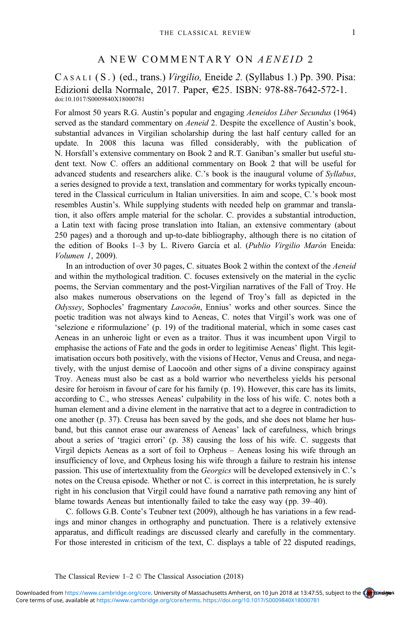## A NEW COMMENTARY ON AENEID 2

C ASALI ( S . ) (ed., trans.) Virgilio, Eneide 2. (Syllabus 1.) Pp. 390. Pisa: Edizioni della Normale, 2017. Paper, E25. ISBN: 978-88-7642-572-1. doi:10.1017/S0009840X18000781

For almost 50 years R.G. Austin's popular and engaging Aeneidos Liber Secundus (1964) served as the standard commentary on Aeneid 2. Despite the excellence of Austin's book, substantial advances in Virgilian scholarship during the last half century called for an update. In 2008 this lacuna was filled considerably, with the publication of N. Horsfall's extensive commentary on Book 2 and R.T. Ganiban's smaller but useful student text. Now C. offers an additional commentary on Book 2 that will be useful for advanced students and researchers alike. C.'s book is the inaugural volume of Syllabus, a series designed to provide a text, translation and commentary for works typically encountered in the Classical curriculum in Italian universities. In aim and scope, C.'s book most resembles Austin's. While supplying students with needed help on grammar and translation, it also offers ample material for the scholar. C. provides a substantial introduction, a Latin text with facing prose translation into Italian, an extensive commentary (about 250 pages) and a thorough and up-to-date bibliography, although there is no citation of the edition of Books 1–3 by L. Rivero García et al. (Publio Virgilio Marón Eneida: Volumen 1, 2009).

In an introduction of over 30 pages, C. situates Book 2 within the context of the Aeneid and within the mythological tradition. C. focuses extensively on the material in the cyclic poems, the Servian commentary and the post-Virgilian narratives of the Fall of Troy. He also makes numerous observations on the legend of Troy's fall as depicted in the Odyssey, Sophocles' fragmentary Laocoön, Ennius' works and other sources. Since the poetic tradition was not always kind to Aeneas, C. notes that Virgil's work was one of 'selezione e riformulazione' (p. 19) of the traditional material, which in some cases cast Aeneas in an unheroic light or even as a traitor. Thus it was incumbent upon Virgil to emphasise the actions of Fate and the gods in order to legitimise Aeneas' flight. This legitimatisation occurs both positively, with the visions of Hector, Venus and Creusa, and negatively, with the unjust demise of Laocoön and other signs of a divine conspiracy against Troy. Aeneas must also be cast as a bold warrior who nevertheless yields his personal desire for heroism in favour of care for his family (p. 19). However, this care has its limits, according to C., who stresses Aeneas' culpability in the loss of his wife. C. notes both a human element and a divine element in the narrative that act to a degree in contradiction to one another (p. 37). Creusa has been saved by the gods, and she does not blame her husband, but this cannot erase our awareness of Aeneas' lack of carefulness, which brings about a series of 'tragici errori' (p. 38) causing the loss of his wife. C. suggests that Virgil depicts Aeneas as a sort of foil to Orpheus – Aeneas losing his wife through an insufficiency of love, and Orpheus losing his wife through a failure to restrain his intense passion. This use of intertextuality from the *Georgics* will be developed extensively in C.'s notes on the Creusa episode. Whether or not C. is correct in this interpretation, he is surely right in his conclusion that Virgil could have found a narrative path removing any hint of blame towards Aeneas but intentionally failed to take the easy way (pp. 39–40).

C. follows G.B. Conte's Teubner text (2009), although he has variations in a few readings and minor changes in orthography and punctuation. There is a relatively extensive apparatus, and difficult readings are discussed clearly and carefully in the commentary. For those interested in criticism of the text, C. displays a table of 22 disputed readings,